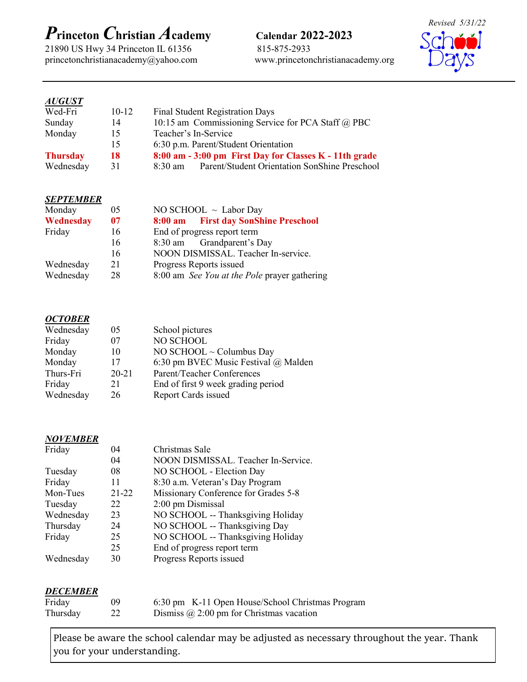# *P***rinceton** *C***hristian** *A***cademy Calendar 2022-2023**

21890 US Hwy 34 Princeton IL 61356 815-875-2933 princetonchristianacademy@yahoo.com www.princetonchristianacademy.org

*Revised 5/31/22*

#### *AUGUST*

| Wed-Fri         | $10 - 12$ | <b>Final Student Registration Days</b>                             |
|-----------------|-----------|--------------------------------------------------------------------|
| Sunday          | 14        | 10:15 am Commissioning Service for PCA Staff @ PBC                 |
| Monday          | 15        | Teacher's In-Service                                               |
|                 | 15        | 6:30 p.m. Parent/Student Orientation                               |
| <b>Thursday</b> | 18        | 8:00 am - 3:00 pm First Day for Classes K - 11th grade             |
| Wednesday       | 31        | Parent/Student Orientation SonShine Preschool<br>$8:30 \text{ am}$ |

#### *SEPTEMBER*

| Monday    | 05 | NO SCHOOL $\sim$ Labor Day                   |
|-----------|----|----------------------------------------------|
| Wednesday | 07 | 8:00 am First day SonShine Preschool         |
| Friday    | 16 | End of progress report term                  |
|           | 16 | 8:30 am Grandparent's Day                    |
|           | 16 | NOON DISMISSAL. Teacher In-service.          |
| Wednesday | 21 | Progress Reports issued                      |
| Wednesday | 28 | 8:00 am See You at the Pole prayer gathering |

#### *OCTOBER*

| 05        | School pictures                      |
|-----------|--------------------------------------|
| 07        | NO SCHOOL                            |
| 10        | NO SCHOOL ~ Columbus Day             |
| 17        | 6:30 pm BVEC Music Festival @ Malden |
| $20 - 21$ | Parent/Teacher Conferences           |
| 21        | End of first 9 week grading period   |
| 26        | Report Cards issued                  |
|           |                                      |

## *NOVEMBER*

| Friday    | 04        | Christmas Sale                       |
|-----------|-----------|--------------------------------------|
|           | 04        | NOON DISMISSAL. Teacher In-Service.  |
| Tuesday   | 08        | NO SCHOOL - Election Day             |
| Friday    | 11        | 8:30 a.m. Veteran's Day Program      |
| Mon-Tues  | $21 - 22$ | Missionary Conference for Grades 5-8 |
| Tuesday   | 22        | 2:00 pm Dismissal                    |
| Wednesday | 23        | NO SCHOOL -- Thanksgiving Holiday    |
| Thursday  | 24        | NO SCHOOL -- Thanksgiving Day        |
| Friday    | 25        | NO SCHOOL -- Thanksgiving Holiday    |
|           | 25        | End of progress report term          |
| Wednesday | 30        | Progress Reports issued              |

#### *DECEMBER*

| Friday   | 09 | 6:30 pm K-11 Open House/School Christmas Program |
|----------|----|--------------------------------------------------|
| Thursday |    | Dismiss $\omega$ 2:00 pm for Christmas vacation  |

Please be aware the school calendar may be adjusted as necessary throughout the year. Thank you for your understanding.